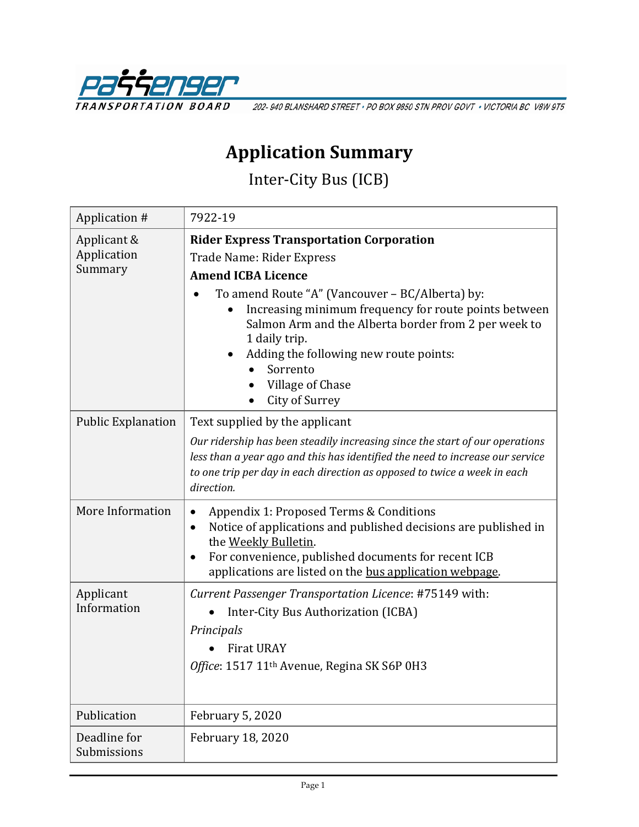

202-940 BLANSHARD STREET · PO BOX 9850 STN PROV GOVT · VICTORIA BC V8W 9T5

## **Application Summary**

Inter-City Bus (ICB)

| Application #                         | 7922-19                                                                                                                                                                                                                                                                                                                                                                                    |
|---------------------------------------|--------------------------------------------------------------------------------------------------------------------------------------------------------------------------------------------------------------------------------------------------------------------------------------------------------------------------------------------------------------------------------------------|
| Applicant &<br>Application<br>Summary | <b>Rider Express Transportation Corporation</b><br>Trade Name: Rider Express<br><b>Amend ICBA Licence</b><br>To amend Route "A" (Vancouver - BC/Alberta) by:<br>Increasing minimum frequency for route points between<br>Salmon Arm and the Alberta border from 2 per week to<br>1 daily trip.<br>Adding the following new route points:<br>Sorrento<br>Village of Chase<br>City of Surrey |
| <b>Public Explanation</b>             | Text supplied by the applicant<br>Our ridership has been steadily increasing since the start of our operations<br>less than a year ago and this has identified the need to increase our service<br>to one trip per day in each direction as opposed to twice a week in each<br>direction.                                                                                                  |
| More Information                      | Appendix 1: Proposed Terms & Conditions<br>Notice of applications and published decisions are published in<br>٠<br>the Weekly Bulletin.<br>For convenience, published documents for recent ICB<br>applications are listed on the bus application webpage.                                                                                                                                  |
| Applicant<br>Information              | Current Passenger Transportation Licence: #75149 with:<br>Inter-City Bus Authorization (ICBA)<br>Principals<br><b>Firat URAY</b><br>Office: 1517 11 <sup>th</sup> Avenue, Regina SK S6P 0H3                                                                                                                                                                                                |
| Publication                           | <b>February 5, 2020</b>                                                                                                                                                                                                                                                                                                                                                                    |
| Deadline for<br>Submissions           | February 18, 2020                                                                                                                                                                                                                                                                                                                                                                          |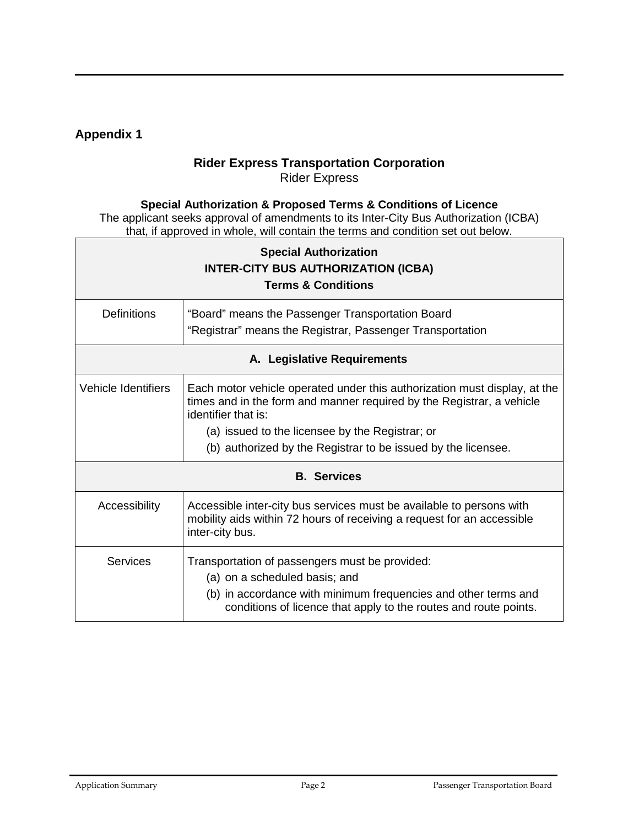## **Appendix 1**

## **Rider Express Transportation Corporation** Rider Express

## **Special Authorization & Proposed Terms & Conditions of Licence**

The applicant seeks approval of amendments to its Inter-City Bus Authorization (ICBA) that, if approved in whole, will contain the terms and condition set out below.

| <b>Special Authorization</b><br><b>INTER-CITY BUS AUTHORIZATION (ICBA)</b><br><b>Terms &amp; Conditions</b> |                                                                                                                                                                                                                                                                                               |  |
|-------------------------------------------------------------------------------------------------------------|-----------------------------------------------------------------------------------------------------------------------------------------------------------------------------------------------------------------------------------------------------------------------------------------------|--|
| <b>Definitions</b>                                                                                          | "Board" means the Passenger Transportation Board<br>"Registrar" means the Registrar, Passenger Transportation                                                                                                                                                                                 |  |
| A. Legislative Requirements                                                                                 |                                                                                                                                                                                                                                                                                               |  |
| <b>Vehicle Identifiers</b>                                                                                  | Each motor vehicle operated under this authorization must display, at the<br>times and in the form and manner required by the Registrar, a vehicle<br>identifier that is:<br>(a) issued to the licensee by the Registrar; or<br>(b) authorized by the Registrar to be issued by the licensee. |  |
| <b>B.</b> Services                                                                                          |                                                                                                                                                                                                                                                                                               |  |
| Accessibility                                                                                               | Accessible inter-city bus services must be available to persons with<br>mobility aids within 72 hours of receiving a request for an accessible<br>inter-city bus.                                                                                                                             |  |
| <b>Services</b>                                                                                             | Transportation of passengers must be provided:<br>(a) on a scheduled basis; and<br>(b) in accordance with minimum frequencies and other terms and<br>conditions of licence that apply to the routes and route points.                                                                         |  |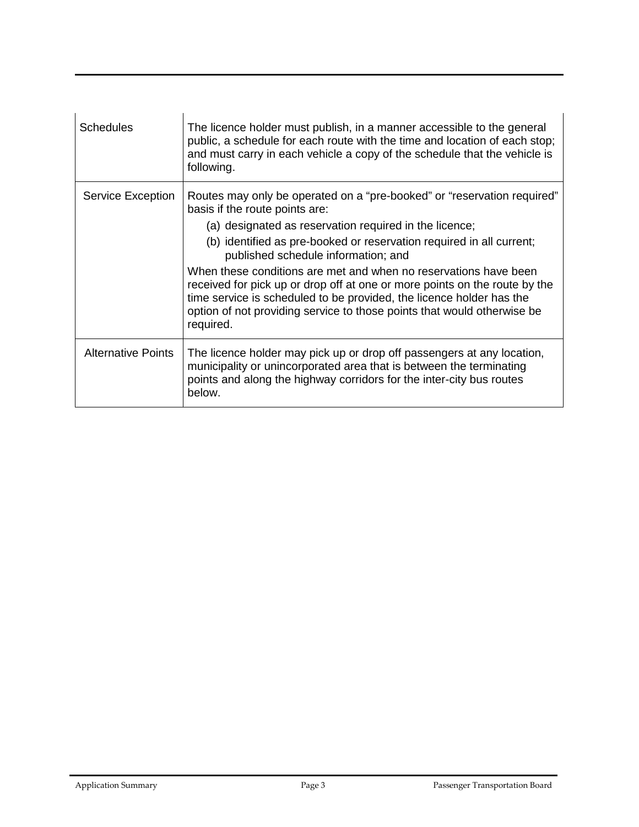| Schedules          | The licence holder must publish, in a manner accessible to the general<br>public, a schedule for each route with the time and location of each stop;<br>and must carry in each vehicle a copy of the schedule that the vehicle is<br>following.                                                                                                                                                                                                                                                                                                                                                      |
|--------------------|------------------------------------------------------------------------------------------------------------------------------------------------------------------------------------------------------------------------------------------------------------------------------------------------------------------------------------------------------------------------------------------------------------------------------------------------------------------------------------------------------------------------------------------------------------------------------------------------------|
| Service Exception  | Routes may only be operated on a "pre-booked" or "reservation required"<br>basis if the route points are:<br>(a) designated as reservation required in the licence;<br>(b) identified as pre-booked or reservation required in all current;<br>published schedule information; and<br>When these conditions are met and when no reservations have been<br>received for pick up or drop off at one or more points on the route by the<br>time service is scheduled to be provided, the licence holder has the<br>option of not providing service to those points that would otherwise be<br>required. |
| Alternative Points | The licence holder may pick up or drop off passengers at any location,<br>municipality or unincorporated area that is between the terminating<br>points and along the highway corridors for the inter-city bus routes<br>below.                                                                                                                                                                                                                                                                                                                                                                      |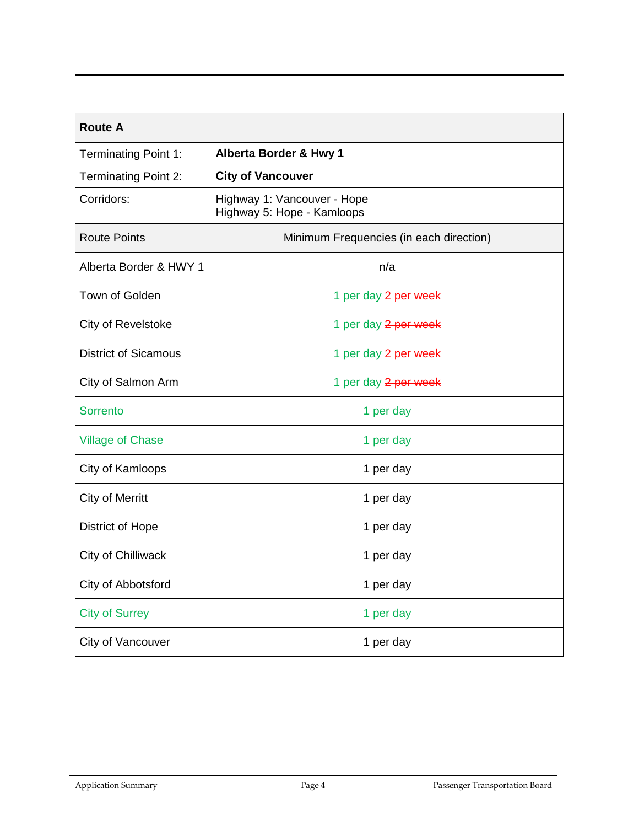| <b>Route A</b>              |                                                           |  |
|-----------------------------|-----------------------------------------------------------|--|
| <b>Terminating Point 1:</b> | Alberta Border & Hwy 1                                    |  |
| Terminating Point 2:        | <b>City of Vancouver</b>                                  |  |
| Corridors:                  | Highway 1: Vancouver - Hope<br>Highway 5: Hope - Kamloops |  |
| <b>Route Points</b>         | Minimum Frequencies (in each direction)                   |  |
| Alberta Border & HWY 1      | n/a                                                       |  |
| Town of Golden              | 1 per day 2 per week                                      |  |
| City of Revelstoke          | 1 per day 2 per week                                      |  |
| <b>District of Sicamous</b> | 1 per day 2 per week                                      |  |
| City of Salmon Arm          | 1 per day 2 per week                                      |  |
| Sorrento                    | 1 per day                                                 |  |
| <b>Village of Chase</b>     | 1 per day                                                 |  |
| City of Kamloops            | 1 per day                                                 |  |
| <b>City of Merritt</b>      | 1 per day                                                 |  |
| District of Hope            | 1 per day                                                 |  |
| City of Chilliwack          | 1 per day                                                 |  |
| City of Abbotsford          | 1 per day                                                 |  |
| <b>City of Surrey</b>       | 1 per day                                                 |  |
| City of Vancouver           | 1 per day                                                 |  |